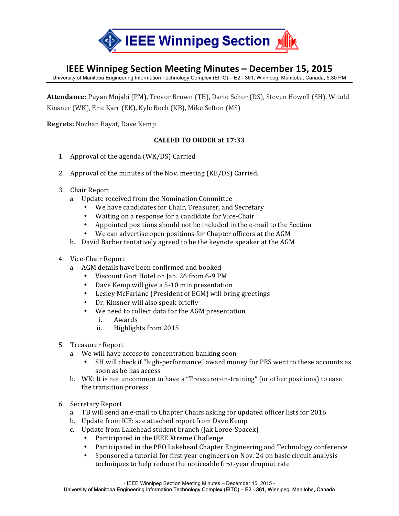

# **IEEE Winnipeg Section Meeting Minutes - December 15, 2015**

University of Manitoba Engineering Information Technology Complex (EITC) – E2 - 361, Winnipeg, Manitoba, Canada, 5:30 PM

Attendance: Puyan Mojabi (PM), Trevor Brown (TB), Dario Schor (DS), Steven Howell (SH), Witold Kinsner (WK), Eric Karr (EK), Kyle Boch (KB), Mike Sefton (MS)

**Regrets:** Nozhan Bayat, Dave Kemp

### **CALLED TO ORDER at 17:33**

- 1. Approval of the agenda  $(WK/DS)$  Carried.
- 2. Approval of the minutes of the Nov. meeting (KB/DS) Carried.
- 3. Chair Report
	- a. Update received from the Nomination Committee
		- We have candidates for Chair, Treasurer, and Secretary
		- Waiting on a response for a candidate for Vice-Chair
		- Appointed positions should not be included in the e-mail to the Section
		- We can advertise open positions for Chapter officers at the AGM
	- b. David Barber tentatively agreed to be the keynote speaker at the AGM
- 4. Vice-Chair Report
	- a. AGM details have been confirmed and booked
		- Viscount Gort Hotel on Jan. 26 from 6-9 PM
		- Dave Kemp will give a 5-10 min presentation
		- Lesley McFarlane (President of EGM) will bring greetings
		- Dr. Kinsner will also speak briefly
		- We need to collect data for the AGM presentation
			- i. Awards
			- ii. Highlights from 2015
- 5. Treasurer Report
	- a. We will have access to concentration banking soon
		- SH will check if "high-performance" award money for PES went to these accounts as soon as he has access
	- b. WK: It is not uncommon to have a "Treasurer-in-training" (or other positions) to ease the transition process
- 6. Secretary Report
	- a. TB will send an e-mail to Chapter Chairs asking for updated officer lists for 2016
	- b. Update from ICF: see attached report from Dave Kemp
	- c. Update from Lakehead student branch (Jak Loree-Spacek)
		- Participated in the IEEE Xtreme Challenge
		- Participated in the PEO Lakehead Chapter Engineering and Technology conference
		- Sponsored a tutorial for first year engineers on Nov. 24 on basic circuit analysis techniques to help reduce the noticeable first-year dropout rate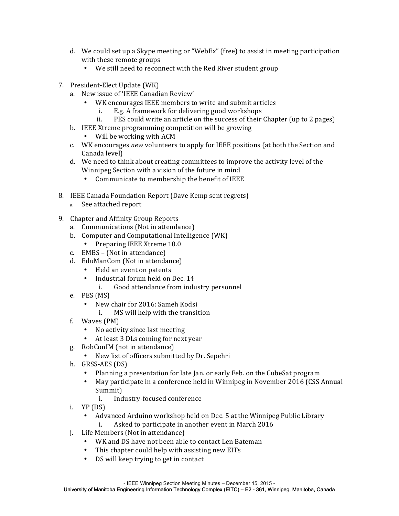- d. We could set up a Skype meeting or "WebEx" (free) to assist in meeting participation with these remote groups
	- We still need to reconnect with the Red River student group
- 7. President-Elect Update (WK)
	- a. New issue of 'IEEE Canadian Review'
		- WK encourages IEEE members to write and submit articles
			- i. E.g. A framework for delivering good workshops
			- ii. PES could write an article on the success of their Chapter (up to 2 pages)
	- b. IEEE Xtreme programming competition will be growing
		- Will be working with ACM
	- c. WK encourages *new* volunteers to apply for IEEE positions (at both the Section and Canada level)
	- d. We need to think about creating committees to improve the activity level of the Winnipeg Section with a vision of the future in mind
		- Communicate to membership the benefit of IEEE
- 8. IEEE Canada Foundation Report (Dave Kemp sent regrets)
	- a. See attached report
- 9. Chapter and Affinity Group Reports
	- a. Communications (Not in attendance)
	- b. Computer and Computational Intelligence (WK)
	- Preparing IEEE Xtreme 10.0
	- c.  $EMBS (Not in attendance)$
	- d. EduManCom (Not in attendance)
		- Held an event on patents
		- Industrial forum held on Dec. 14
			- i. Good attendance from industry personnel
	- e. PES (MS)
		- New chair for 2016: Sameh Kodsi
			- i. MS will help with the transition
	- f. Waves (PM)
		- No activity since last meeting
		- At least 3 DLs coming for next year
	- g. RobConIM (not in attendance)
		- New list of officers submitted by Dr. Sepehri
	- h. GRSS-AES (DS)
		- Planning a presentation for late Jan. or early Feb. on the CubeSat program
		- May participate in a conference held in Winnipeg in November 2016 (CSS Annual Summit)
			- i. Industry-focused conference
	- i.  $YP(DS)$ 
		- Advanced Arduino workshop held on Dec. 5 at the Winnipeg Public Library
			- i. Asked to participate in another event in March 2016
	- j. Life Members (Not in attendance)
		- WK and DS have not been able to contact Len Bateman
		- This chapter could help with assisting new EITs
		- DS will keep trying to get in contact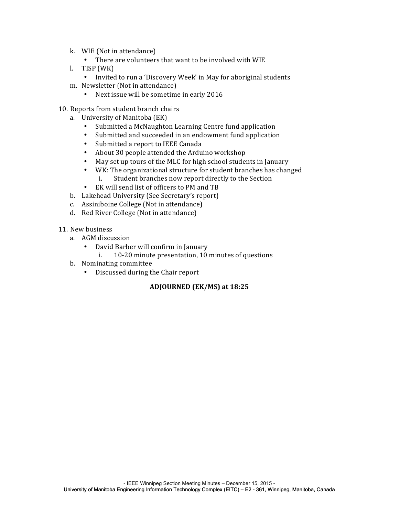- k. WIE (Not in attendance)
	- There are volunteers that want to be involved with WIE
- l. TISP (WK)
	- Invited to run a 'Discovery Week' in May for aboriginal students
- m. Newsletter (Not in attendance)
	- Next issue will be sometime in early 2016
- 10. Reports from student branch chairs
	- a. University of Manitoba (EK)
		- Submitted a McNaughton Learning Centre fund application
		- Submitted and succeeded in an endowment fund application
		- Submitted a report to IEEE Canada
		- About 30 people attended the Arduino workshop
		- May set up tours of the MLC for high school students in January
		- WK: The organizational structure for student branches has changed i. Student branches now report directly to the Section
		- EK will send list of officers to PM and TB
	- b. Lakehead University (See Secretary's report)
	- c. Assiniboine College (Not in attendance)
	- d. Red River College (Not in attendance)
- 11. New business
	- a. AGM discussion
		- David Barber will confirm in January
			- i. 10-20 minute presentation, 10 minutes of questions
	- b. Nominating committee
		- Discussed during the Chair report

#### **ADJOURNED (EK/MS) at 18:25**